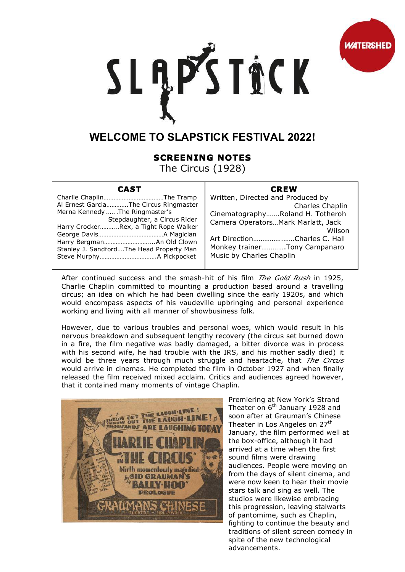

## SLĄPSTACK

## **WELCOME TO SLAPSTICK FESTIVAL 2022!**

## **SCREENING NOTES**

The Circus (1928)

| CAST                                     |
|------------------------------------------|
|                                          |
| Al Ernest GarciaThe Circus Ringmaster    |
| Merna KennedyThe Ringmaster's            |
| Stepdaughter, a Circus Rider             |
| Harry CrockerRex, a Tight Rope Walker    |
|                                          |
| Harry BergmanAn Old Clown                |
| Stanley J. SandfordThe Head Property Man |
|                                          |
|                                          |

## **CREW**

Written, Directed and Produced by Charles Chaplin Cinematography…….Roland H. Totheroh Camera Operators…Mark Marlatt, Jack Wilson Art Direction…………….……Charles C. Hall Monkey trainer………….Tony Campanaro Music by Charles Chaplin

After continued success and the smash-hit of his film *The Gold Rush* in 1925, Charlie Chaplin committed to mounting a production based around a travelling circus; an idea on which he had been dwelling since the early 1920s, and which would encompass aspects of his vaudeville upbringing and personal experience working and living with all manner of showbusiness folk.

However, due to various troubles and personal woes, which would result in his nervous breakdown and subsequent lengthy recovery (the circus set burned down in a fire, the film negative was badly damaged, a bitter divorce was in process with his second wife, he had trouble with the IRS, and his mother sadly died) it would be three years through much struggle and heartache, that *The Circus*  would arrive in cinemas. He completed the film in October 1927 and when finally released the film received mixed acclaim. Critics and audiences agreed however, that it contained many moments of vintage Chaplin.



Premiering at New York's Strand Theater on 6<sup>th</sup> January 1928 and soon after at Grauman's Chinese Theater in Los Angeles on 27<sup>th</sup> January, the film performed well at the box-office, although it had arrived at a time when the first sound films were drawing audiences. People were moving on from the days of silent cinema, and were now keen to hear their movie stars talk and sing as well. The studios were likewise embracing this progression, leaving stalwarts of pantomime, such as Chaplin, fighting to continue the beauty and traditions of silent screen comedy in spite of the new technological advancements.